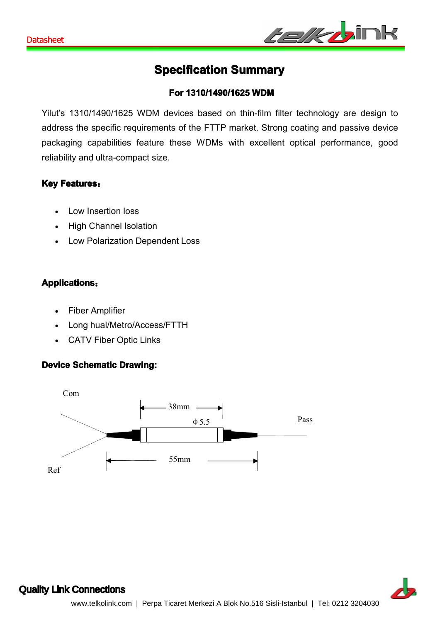

# **Specification Summary**

#### **For 1310/1490/1 1310/1490/11310/1490/1625 WDM**

Yilut's 1310/1490/1625 WDM devices based on thin-film filter technology are design to address the specific requirements of the FTTP market. Strong coating and passive device packaging capabilities feature these WDMs with excellent optical performance, good reliability and ultra-compact size.

#### **Key Features** :

- Low Insertion loss
- High Channel Isolation
- Low Polarization Dependent Loss

## **Applications:**

- Fiber Amplifier
- Long hual/Metro/Access/FTTH
- CATV Fiber Optic Links

#### **Device Schematic Drawing:**





#### Quality Link [Connections](http://www.yilut.com)